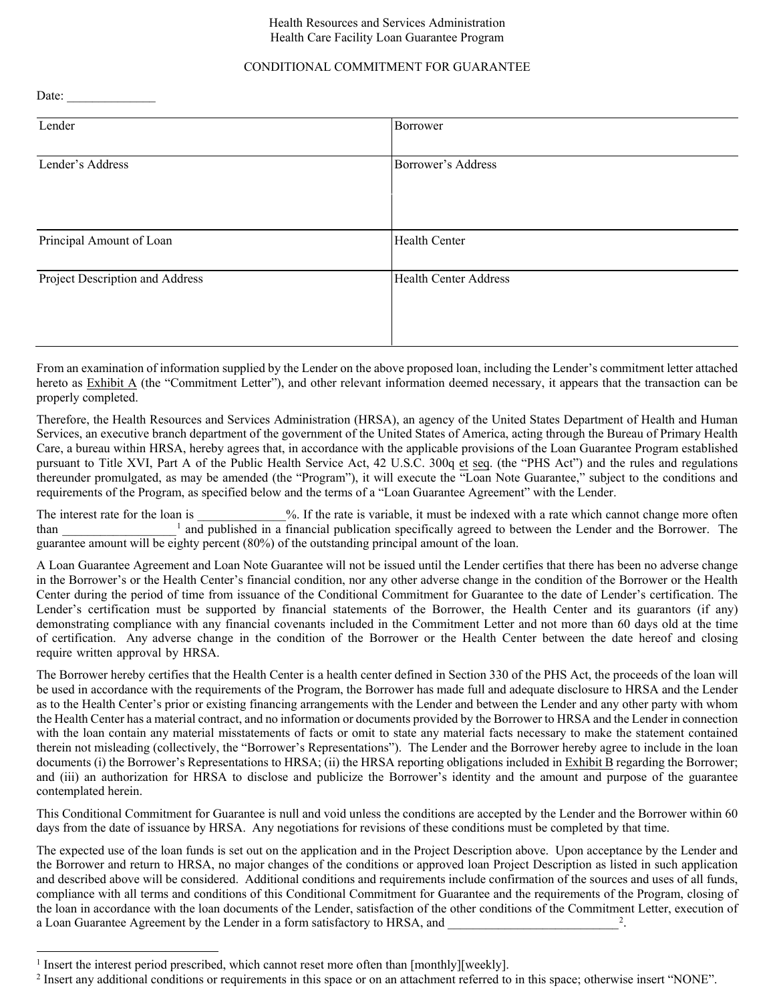#### Health Resources and Services Administration Health Care Facility Loan Guarantee Program

## CONDITIONAL COMMITMENT FOR GUARANTEE

Date:

| Lender                          | Borrower                     |
|---------------------------------|------------------------------|
|                                 |                              |
| Lender's Address                | Borrower's Address           |
|                                 |                              |
|                                 |                              |
|                                 |                              |
| Principal Amount of Loan        | <b>Health Center</b>         |
|                                 |                              |
| Project Description and Address | <b>Health Center Address</b> |
|                                 |                              |
|                                 |                              |
|                                 |                              |

From an examination of information supplied by the Lender on the above proposed loan, including the Lender's commitment letter attached hereto as Exhibit A (the "Commitment Letter"), and other relevant information deemed necessary, it appears that the transaction can be properly completed.

Therefore, the Health Resources and Services Administration (HRSA), an agency of the United States Department of Health and Human Services, an executive branch department of the government of the United States of America, acting through the Bureau of Primary Health Care, a bureau within HRSA, hereby agrees that, in accordance with the applicable provisions of the Loan Guarantee Program established pursuant to Title XVI, Part A of the Public Health Service Act, 42 U.S.C. 300q et seq. (the "PHS Act") and the rules and regulations thereunder promulgated, as may be amended (the "Program"), it will execute the "Loan Note Guarantee," subject to the conditions and requirements of the Program, as specified below and the terms of a "Loan Guarantee Agreement" with the Lender.

The interest rate for the loan is \_\_\_\_\_\_\_\_\_\_\_\_\_%. If the rate is variable, it must be indexed with a rate which cannot change more often than a l and published in a financial publication specifically agreed to between the than guarantee amount will be eighty percent (80%) of the outstanding principal amount of the loan.

A Loan Guarantee Agreement and Loan Note Guarantee will not be issued until the Lender certifies that there has been no adverse change in the Borrower's or the Health Center's financial condition, nor any other adverse change in the condition of the Borrower or the Health Center during the period of time from issuance of the Conditional Commitment for Guarantee to the date of Lender's certification. The Lender's certification must be supported by financial statements of the Borrower, the Health Center and its guarantors (if any) demonstrating compliance with any financial covenants included in the Commitment Letter and not more than 60 days old at the time of certification. Any adverse change in the condition of the Borrower or the Health Center between the date hereof and closing require written approval by HRSA.

The Borrower hereby certifies that the Health Center is a health center defined in Section 330 of the PHS Act, the proceeds of the loan will be used in accordance with the requirements of the Program, the Borrower has made full and adequate disclosure to HRSA and the Lender as to the Health Center's prior or existing financing arrangements with the Lender and between the Lender and any other party with whom the Health Center has a material contract, and no information or documents provided by the Borrower to HRSA and the Lender in connection with the loan contain any material misstatements of facts or omit to state any material facts necessary to make the statement contained therein not misleading (collectively, the "Borrower's Representations"). The Lender and the Borrower hereby agree to include in the loan documents (i) the Borrower's Representations to HRSA; (ii) the HRSA reporting obligations included in Exhibit B regarding the Borrower; and (iii) an authorization for HRSA to disclose and publicize the Borrower's identity and the amount and purpose of the guarantee contemplated herein.

This Conditional Commitment for Guarantee is null and void unless the conditions are accepted by the Lender and the Borrower within 60 days from the date of issuance by HRSA. Any negotiations for revisions of these conditions must be completed by that time.

The expected use of the loan funds is set out on the application and in the Project Description above. Upon acceptance by the Lender and the Borrower and return to HRSA, no major changes of the conditions or approved loan Project Description as listed in such application and described above will be considered. Additional conditions and requirements include confirmation of the sources and uses of all funds, compliance with all terms and conditions of this Conditional Commitment for Guarantee and the requirements of the Program, closing of the loan in accordance with the loan documents of the Lender, satisfaction of the other conditions of the Commitment Letter, execution of a Loan Guarantee Agreement by the Lender in a form satisfactory to HRSA, and 2 .

<sup>&</sup>lt;sup>1</sup> Insert the interest period prescribed, which cannot reset more often than [monthly][weekly].

<sup>&</sup>lt;sup>2</sup> Insert any additional conditions or requirements in this space or on an attachment referred to in this space; otherwise insert "NONE".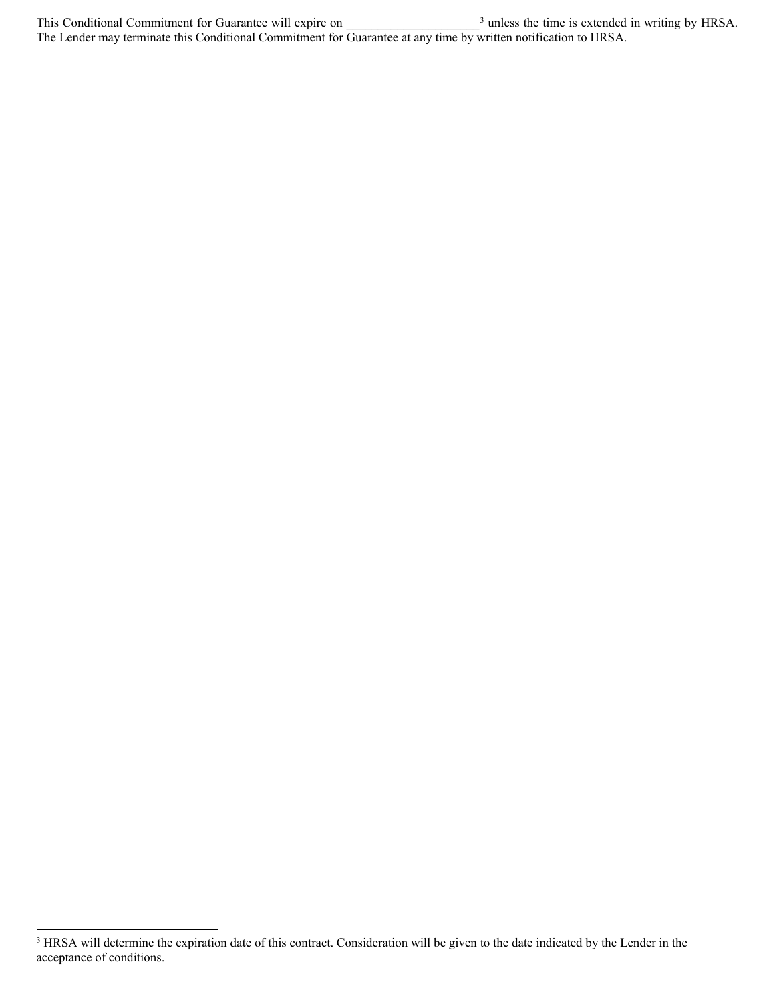This Conditional Commitment for Guarantee will expire on  $\frac{3}{2}$  unless the time is extended in writing by HRSA. The Lender may terminate this Conditional Commitment for Guarantee at any time by written notification to HRSA.

-

<sup>&</sup>lt;sup>3</sup> HRSA will determine the expiration date of this contract. Consideration will be given to the date indicated by the Lender in the acceptance of conditions.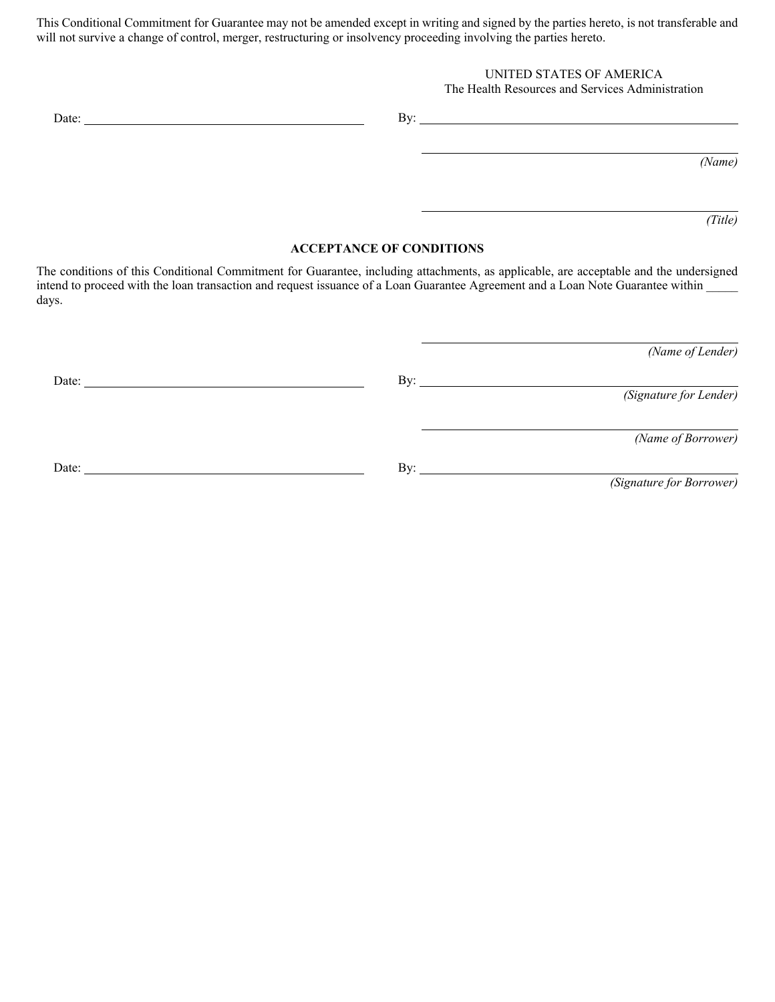This Conditional Commitment for Guarantee may not be amended except in writing and signed by the parties hereto, is not transferable and will not survive a change of control, merger, restructuring or insolvency proceeding involving the parties hereto.

## UNITED STATES OF AMERICA

### The Health Resources and Services Administration

| ー |  |
|---|--|
|   |  |

*(Name)*

*(Title)*

#### **ACCEPTANCE OF CONDITIONS**

The conditions of this Conditional Commitment for Guarantee, including attachments, as applicable, are acceptable and the undersigned intend to proceed with the loan transaction and request issuance of a Loan Guarantee Agreement and a Loan Note Guarantee within days.

| (Name of Lender)         |                     |       |
|--------------------------|---------------------|-------|
|                          | By: $\qquad \qquad$ | Date: |
| (Signature for Lender)   |                     |       |
|                          |                     |       |
| (Name of Borrower)       |                     |       |
|                          | By: $\qquad \qquad$ | Date: |
| (Signature for Borrower) |                     |       |
|                          |                     |       |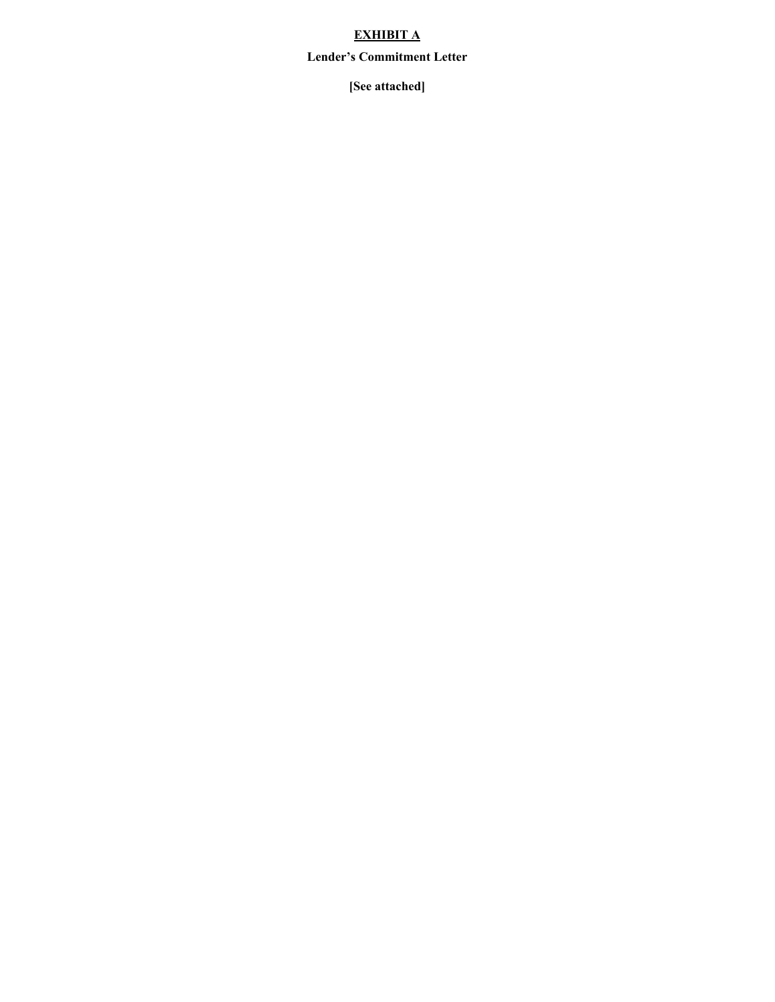# **EXHIBIT A**

## **Lender's Commitment Letter**

**[See attached]**